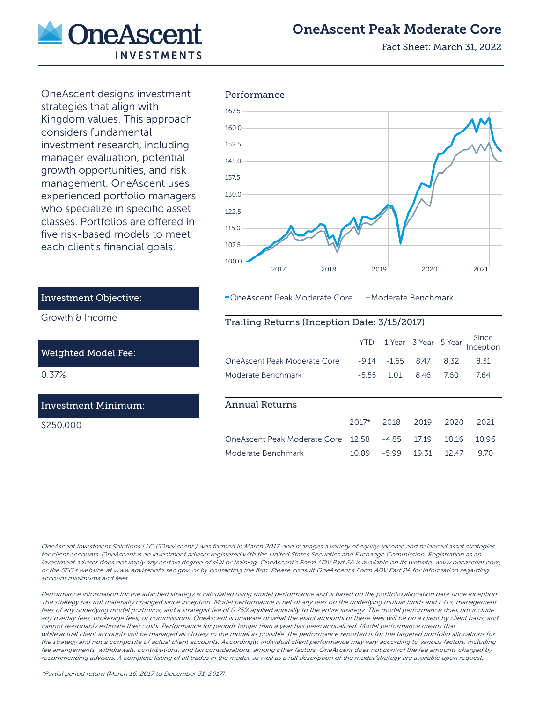

# OneAscent Peak Moderate Core

Fact Sheet: March 31, 2022

OneAscent designs investment strategies that align with Kingdom values. This approach considers fundamental investment research, including manager evaluation, potential growth opportunities, and risk management. OneAscent uses experienced portfolio managers who specialize in specific asset classes. Portfolios are offered in five risk-based models to meet each client's financial goals.



OneAscent Peak Moderate Core - Moderate Benchmark

### Trailing Returns (Inception Date: 3/15/2017)

|                              | YTD.    |         | 1 Year 3 Year 5 Year |       | Since<br>Inception |
|------------------------------|---------|---------|----------------------|-------|--------------------|
| OneAscent Peak Moderate Core | $-9.14$ | $-1.65$ | 8.47                 | 8.32  | 8.31               |
| Moderate Benchmark           | $-5.55$ | 1.01    | 846                  | 760   | 764                |
|                              |         |         |                      |       |                    |
| <b>Annual Returns</b>        |         |         |                      |       |                    |
|                              | $2017*$ | 2018    | 2019                 | 2020  | 2021               |
| OneAscent Peak Moderate Core | 12.58   | $-4.85$ | 1719                 | 18.16 | 10.96              |
| Moderate Benchmark           | 10.89   | $-5.99$ | 19.31                | 12 47 | 970                |

# Investment Objective:

Growth & Income

#### Weighted Model Fee:

0.37%

## Investment Minimum:

\$250,000

OneAscent Investment Solutions LLC ("OneAscent") was formed in March 2017, and manages a variety of equity, income and balanced asset strategies for client accounts. OneAscent is an investment adviser registered with the United States Securities and Exchange Commission. Registration as an investment adviser does not imply any certain degree of skill or training. OneAscent's Form ADV Part 2A is available on its website, www.oneascent.com, or the SEC's website, at www.adviserinfo.sec.gov, or by contacting the firm. Please consult OneAscent's Form ADV Part 2A for information regarding account minimums and fees.

Performance information for the attached strategy is calculated using model performance and is based on the portfolio allocation data since inception. The strategy has not materially changed since inception. Model performance is net of any fees on the underlying mutual funds and ETFs, management fees of any underlying model portfolios, and a strategist fee of 0.25% applied annually to the entire strategy. The model performance does not include any overlay fees, brokerage fees, or commissions. OneAscent is unaware of what the exact amounts of these fees will be on a client by client basis, and cannot reasonably estimate their costs. Performance for periods longer than a year has been annualized. Model performance means that while actual client accounts will be managed as closely to the model as possible, the performance reported is for the targeted portfolio allocations for the strategy and not a composite of actual client accounts. Accordingly, individual client performance may vary according to various factors, including fee arrangements, withdrawals, contributions, and tax considerations, among other factors. OneAscent does not control the fee amounts charged by recommending advisers. A complete listing of all trades in the model, as well as a full description of the model/strategy are available upon request.